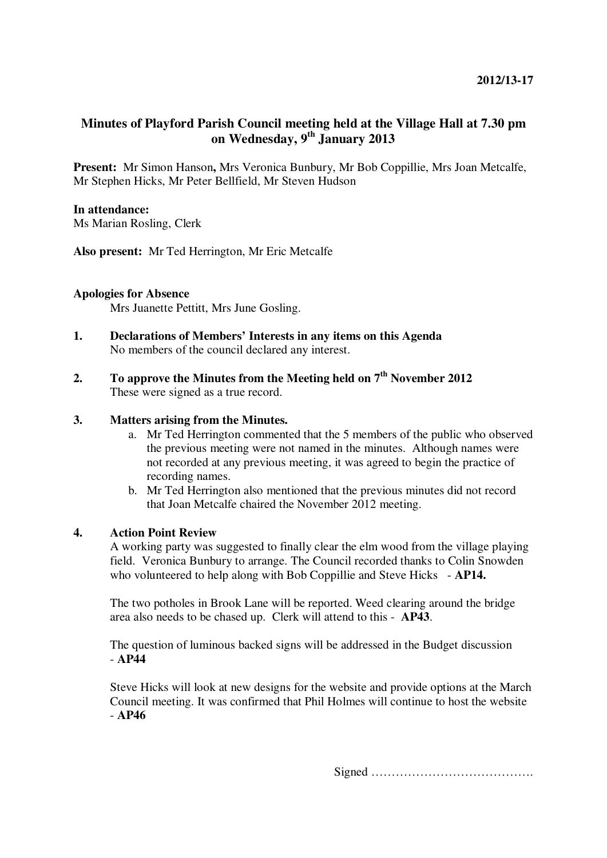# **Minutes of Playford Parish Council meeting held at the Village Hall at 7.30 pm on Wednesday, 9th January 2013**

**Present:** Mr Simon Hanson**,** Mrs Veronica Bunbury, Mr Bob Coppillie, Mrs Joan Metcalfe, Mr Stephen Hicks, Mr Peter Bellfield, Mr Steven Hudson

# **In attendance:**

Ms Marian Rosling, Clerk

**Also present:** Mr Ted Herrington, Mr Eric Metcalfe

## **Apologies for Absence**

Mrs Juanette Pettitt, Mrs June Gosling.

- **1. Declarations of Members' Interests in any items on this Agenda**  No members of the council declared any interest.
- **2. To approve the Minutes from the Meeting held on 7th November 2012**  These were signed as a true record.

## **3. Matters arising from the Minutes.**

- a. Mr Ted Herrington commented that the 5 members of the public who observed the previous meeting were not named in the minutes. Although names were not recorded at any previous meeting, it was agreed to begin the practice of recording names.
- b. Mr Ted Herrington also mentioned that the previous minutes did not record that Joan Metcalfe chaired the November 2012 meeting.

## **4. Action Point Review**

A working party was suggested to finally clear the elm wood from the village playing field. Veronica Bunbury to arrange. The Council recorded thanks to Colin Snowden who volunteered to help along with Bob Coppillie and Steve Hicks - **AP14.** 

The two potholes in Brook Lane will be reported. Weed clearing around the bridge area also needs to be chased up. Clerk will attend to this - **AP43**.

The question of luminous backed signs will be addressed in the Budget discussion - **AP44** 

Steve Hicks will look at new designs for the website and provide options at the March Council meeting. It was confirmed that Phil Holmes will continue to host the website - **AP46**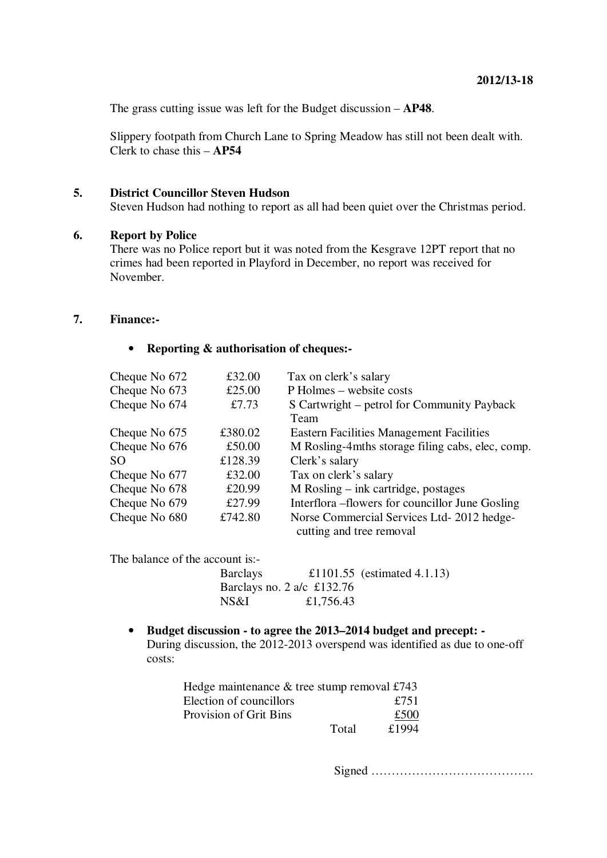The grass cutting issue was left for the Budget discussion – **AP48**.

Slippery footpath from Church Lane to Spring Meadow has still not been dealt with. Clerk to chase this – **AP54**

# **5. District Councillor Steven Hudson**

Steven Hudson had nothing to report as all had been quiet over the Christmas period.

#### **6. Report by Police**

There was no Police report but it was noted from the Kesgrave 12PT report that no crimes had been reported in Playford in December, no report was received for November.

## **7. Finance:-**

#### • **Reporting & authorisation of cheques:-**

| Cheque No 672 | £32.00  | Tax on clerk's salary                            |
|---------------|---------|--------------------------------------------------|
| Cheque No 673 | £25.00  | P Holmes – website costs                         |
| Cheque No 674 | £7.73   | S Cartwright – petrol for Community Payback      |
|               |         | Team                                             |
| Cheque No 675 | £380.02 | <b>Eastern Facilities Management Facilities</b>  |
| Cheque No 676 | £50.00  | M Rosling-4mths storage filing cabs, elec, comp. |
| SO.           | £128.39 | Clerk's salary                                   |
| Cheque No 677 | £32.00  | Tax on clerk's salary                            |
| Cheque No 678 | £20.99  | M Rosling – ink cartridge, postages              |
| Cheque No 679 | £27.99  | Interflora – flowers for councillor June Gosling |
| Cheque No 680 | £742.80 | Norse Commercial Services Ltd-2012 hedge-        |
|               |         | cutting and tree removal                         |

The balance of the account is:-

Barclays £1101.55 (estimated 4.1.13) Barclays no. 2 a/c £132.76 NS&I £1,756.43

• **Budget discussion - to agree the 2013–2014 budget and precept: -**  During discussion, the 2012-2013 overspend was identified as due to one-off costs:

| Hedge maintenance $&$ tree stump removal £743 |       |       |
|-----------------------------------------------|-------|-------|
| Election of councillors                       |       | £751  |
| <b>Provision of Grit Bins</b>                 |       | £500  |
|                                               | Total | £1994 |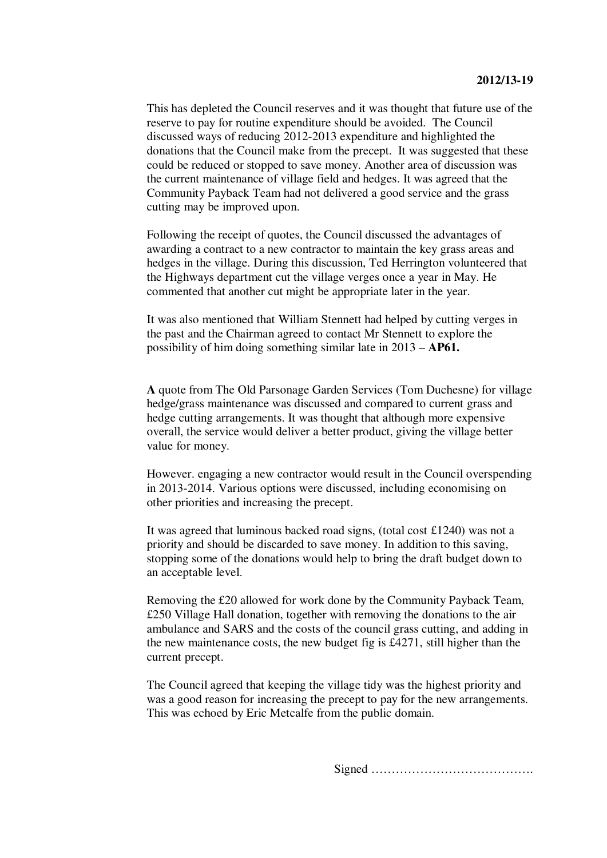This has depleted the Council reserves and it was thought that future use of the reserve to pay for routine expenditure should be avoided. The Council discussed ways of reducing 2012-2013 expenditure and highlighted the donations that the Council make from the precept. It was suggested that these could be reduced or stopped to save money. Another area of discussion was the current maintenance of village field and hedges. It was agreed that the Community Payback Team had not delivered a good service and the grass cutting may be improved upon.

Following the receipt of quotes, the Council discussed the advantages of awarding a contract to a new contractor to maintain the key grass areas and hedges in the village. During this discussion, Ted Herrington volunteered that the Highways department cut the village verges once a year in May. He commented that another cut might be appropriate later in the year.

It was also mentioned that William Stennett had helped by cutting verges in the past and the Chairman agreed to contact Mr Stennett to explore the possibility of him doing something similar late in 2013 – **AP61.**

**A** quote from The Old Parsonage Garden Services (Tom Duchesne) for village hedge/grass maintenance was discussed and compared to current grass and hedge cutting arrangements. It was thought that although more expensive overall, the service would deliver a better product, giving the village better value for money.

However. engaging a new contractor would result in the Council overspending in 2013-2014. Various options were discussed, including economising on other priorities and increasing the precept.

It was agreed that luminous backed road signs, (total cost £1240) was not a priority and should be discarded to save money. In addition to this saving, stopping some of the donations would help to bring the draft budget down to an acceptable level.

Removing the £20 allowed for work done by the Community Payback Team, £250 Village Hall donation, together with removing the donations to the air ambulance and SARS and the costs of the council grass cutting, and adding in the new maintenance costs, the new budget fig is £4271, still higher than the current precept.

The Council agreed that keeping the village tidy was the highest priority and was a good reason for increasing the precept to pay for the new arrangements. This was echoed by Eric Metcalfe from the public domain.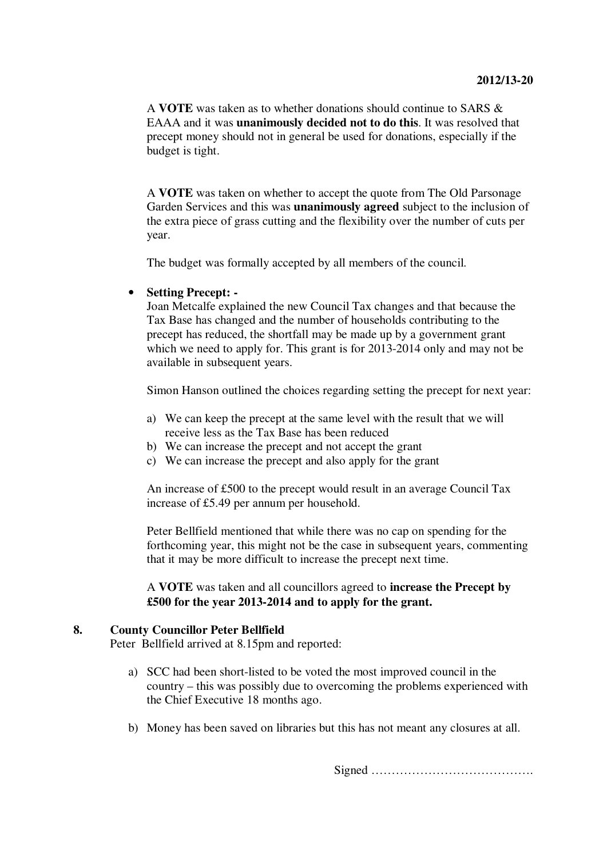A **VOTE** was taken as to whether donations should continue to SARS & EAAA and it was **unanimously decided not to do this**. It was resolved that precept money should not in general be used for donations, especially if the budget is tight.

A **VOTE** was taken on whether to accept the quote from The Old Parsonage Garden Services and this was **unanimously agreed** subject to the inclusion of the extra piece of grass cutting and the flexibility over the number of cuts per year.

The budget was formally accepted by all members of the council.

## • **Setting Precept: -**

Joan Metcalfe explained the new Council Tax changes and that because the Tax Base has changed and the number of households contributing to the precept has reduced, the shortfall may be made up by a government grant which we need to apply for. This grant is for 2013-2014 only and may not be available in subsequent years.

Simon Hanson outlined the choices regarding setting the precept for next year:

- a) We can keep the precept at the same level with the result that we will receive less as the Tax Base has been reduced
- b) We can increase the precept and not accept the grant
- c) We can increase the precept and also apply for the grant

An increase of £500 to the precept would result in an average Council Tax increase of £5.49 per annum per household.

Peter Bellfield mentioned that while there was no cap on spending for the forthcoming year, this might not be the case in subsequent years, commenting that it may be more difficult to increase the precept next time.

A **VOTE** was taken and all councillors agreed to **increase the Precept by £500 for the year 2013-2014 and to apply for the grant.** 

#### **8. County Councillor Peter Bellfield**

Peter Bellfield arrived at 8.15pm and reported:

- a) SCC had been short-listed to be voted the most improved council in the country – this was possibly due to overcoming the problems experienced with the Chief Executive 18 months ago.
- b) Money has been saved on libraries but this has not meant any closures at all.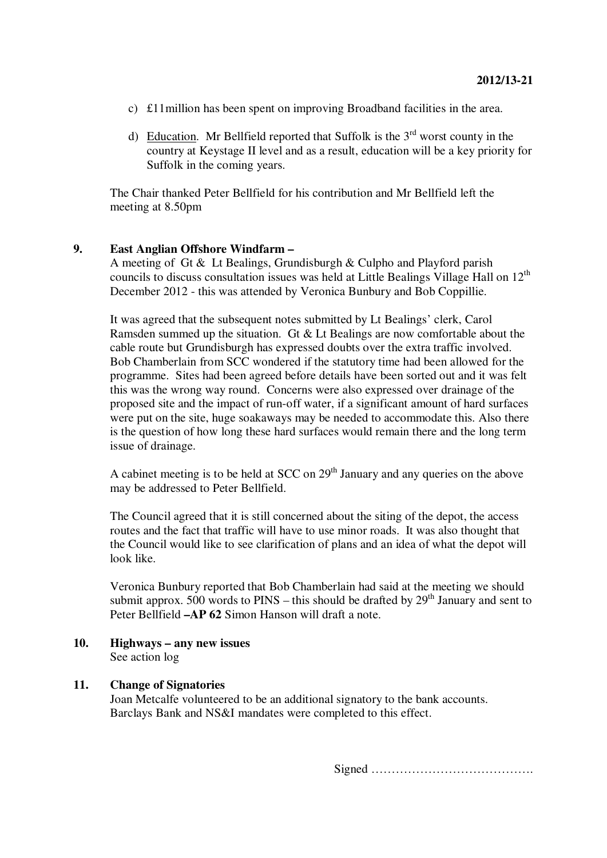- c) £11million has been spent on improving Broadband facilities in the area.
- d) Education. Mr Bellfield reported that Suffolk is the  $3<sup>rd</sup>$  worst county in the country at Keystage II level and as a result, education will be a key priority for Suffolk in the coming years.

The Chair thanked Peter Bellfield for his contribution and Mr Bellfield left the meeting at 8.50pm

#### **9. East Anglian Offshore Windfarm –**

A meeting of Gt & Lt Bealings, Grundisburgh & Culpho and Playford parish councils to discuss consultation issues was held at Little Bealings Village Hall on  $12<sup>th</sup>$ December 2012 - this was attended by Veronica Bunbury and Bob Coppillie.

It was agreed that the subsequent notes submitted by Lt Bealings' clerk, Carol Ramsden summed up the situation. Gt & Lt Bealings are now comfortable about the cable route but Grundisburgh has expressed doubts over the extra traffic involved. Bob Chamberlain from SCC wondered if the statutory time had been allowed for the programme. Sites had been agreed before details have been sorted out and it was felt this was the wrong way round. Concerns were also expressed over drainage of the proposed site and the impact of run-off water, if a significant amount of hard surfaces were put on the site, huge soakaways may be needed to accommodate this. Also there is the question of how long these hard surfaces would remain there and the long term issue of drainage.

A cabinet meeting is to be held at SCC on  $29<sup>th</sup>$  January and any queries on the above may be addressed to Peter Bellfield.

The Council agreed that it is still concerned about the siting of the depot, the access routes and the fact that traffic will have to use minor roads. It was also thought that the Council would like to see clarification of plans and an idea of what the depot will look like.

Veronica Bunbury reported that Bob Chamberlain had said at the meeting we should submit approx. 500 words to  $PINS - this$  should be drafted by  $29<sup>th</sup>$  January and sent to Peter Bellfield **–AP 62** Simon Hanson will draft a note.

# **10. Highways – any new issues**

See action log

# **11. Change of Signatories**

Joan Metcalfe volunteered to be an additional signatory to the bank accounts. Barclays Bank and NS&I mandates were completed to this effect.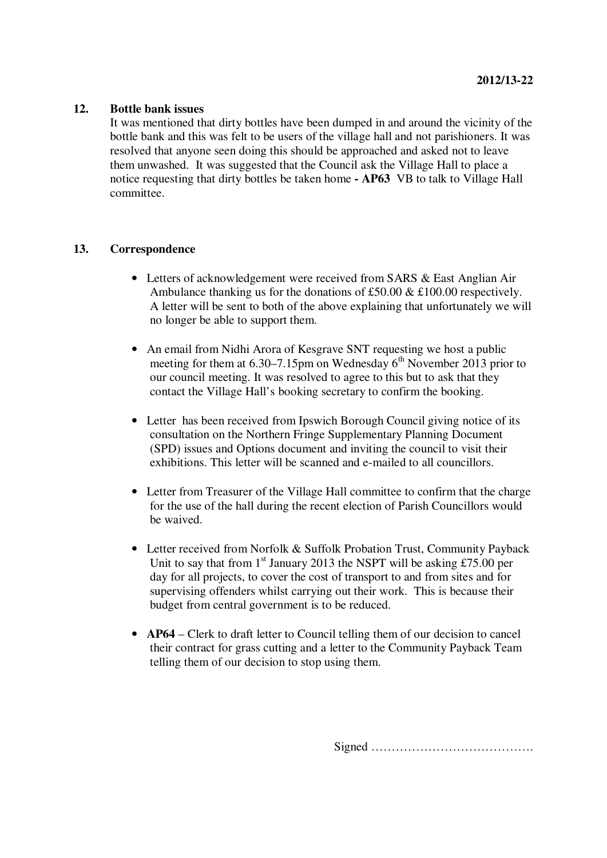#### **12. Bottle bank issues**

It was mentioned that dirty bottles have been dumped in and around the vicinity of the bottle bank and this was felt to be users of the village hall and not parishioners. It was resolved that anyone seen doing this should be approached and asked not to leave them unwashed. It was suggested that the Council ask the Village Hall to place a notice requesting that dirty bottles be taken home **- AP63** VB to talk to Village Hall committee.

#### **13. Correspondence**

- Letters of acknowledgement were received from SARS & East Anglian Air Ambulance thanking us for the donations of £50.00  $&$  £100.00 respectively. A letter will be sent to both of the above explaining that unfortunately we will no longer be able to support them.
- An email from Nidhi Arora of Kesgrave SNT requesting we host a public meeting for them at  $6.30-7.15$ pm on Wednesday  $6<sup>th</sup>$  November 2013 prior to our council meeting. It was resolved to agree to this but to ask that they contact the Village Hall's booking secretary to confirm the booking.
- Letter has been received from Ipswich Borough Council giving notice of its consultation on the Northern Fringe Supplementary Planning Document (SPD) issues and Options document and inviting the council to visit their exhibitions. This letter will be scanned and e-mailed to all councillors.
- Letter from Treasurer of the Village Hall committee to confirm that the charge for the use of the hall during the recent election of Parish Councillors would be waived.
- Letter received from Norfolk & Suffolk Probation Trust, Community Payback Unit to say that from  $1<sup>st</sup>$  January 2013 the NSPT will be asking £75.00 per day for all projects, to cover the cost of transport to and from sites and for supervising offenders whilst carrying out their work. This is because their budget from central government is to be reduced.
- **AP64** Clerk to draft letter to Council telling them of our decision to cancel their contract for grass cutting and a letter to the Community Payback Team telling them of our decision to stop using them.